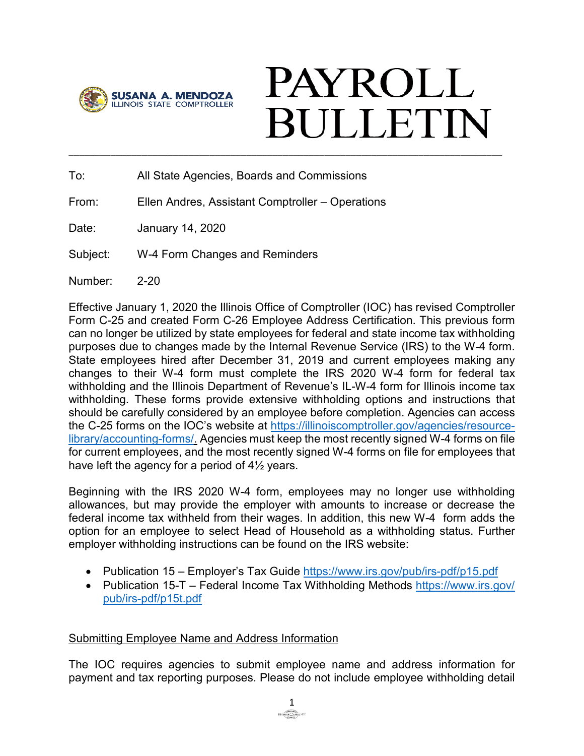

## **PAYROLL BULLETIN** \_\_\_\_\_\_\_\_\_\_\_\_\_\_\_\_\_\_\_\_\_\_\_\_\_\_\_\_\_\_\_\_\_\_\_\_\_\_\_\_\_\_\_\_\_\_\_\_\_\_\_\_\_\_\_\_\_\_\_\_\_\_\_\_\_\_\_\_\_\_\_\_\_\_\_\_\_\_\_\_\_\_\_

To: All State Agencies, Boards and Commissions

From: Ellen Andres, Assistant Comptroller – Operations

Date: January 14, 2020

Subject: W-4 Form Changes and Reminders

Number: 2-20

Effective January 1, 2020 the Illinois Office of Comptroller (IOC) has revised Comptroller Form C-25 and created Form C-26 Employee Address Certification. This previous form can no longer be utilized by state employees for federal and state income tax withholding purposes due to changes made by the Internal Revenue Service (IRS) to the W-4 form. State employees hired after December 31, 2019 and current employees making any changes to their W-4 form must complete the IRS 2020 W-4 form for federal tax withholding and the Illinois Department of Revenue's IL-W-4 form for Illinois income tax withholding. These forms provide extensive withholding options and instructions that should be carefully considered by an employee before completion. Agencies can access the C-25 forms on the IOC's website at [https://illinoiscomptroller.gov/agencies/resource](https://illinoiscomptroller.gov/agencies/resource-library/accounting-forms/)[library/accounting-forms/.](https://illinoiscomptroller.gov/agencies/resource-library/accounting-forms/) Agencies must keep the most recently signed W-4 forms on file for current employees, and the most recently signed W-4 forms on file for employees that have left the agency for a period of 4½ years.

Beginning with the IRS 2020 W-4 form, employees may no longer use withholding allowances, but may provide the employer with amounts to increase or decrease the federal income tax withheld from their wages. In addition, this new W-4 form adds the option for an employee to select Head of Household as a withholding status. Further employer withholding instructions can be found on the IRS website:

- Publication 15 Employer's Tax Guide <https://www.irs.gov/pub/irs-pdf/p15.pdf>
- Publication 15-T Federal Income Tax Withholding Methods [https://www.irs.gov/](https://www.irs.gov/pub/irs-pdf/p15t.pdf) [pub/irs-pdf/p15t.pdf](https://www.irs.gov/pub/irs-pdf/p15t.pdf)

## Submitting Employee Name and Address Information

The IOC requires agencies to submit employee name and address information for payment and tax reporting purposes. Please do not include employee withholding detail